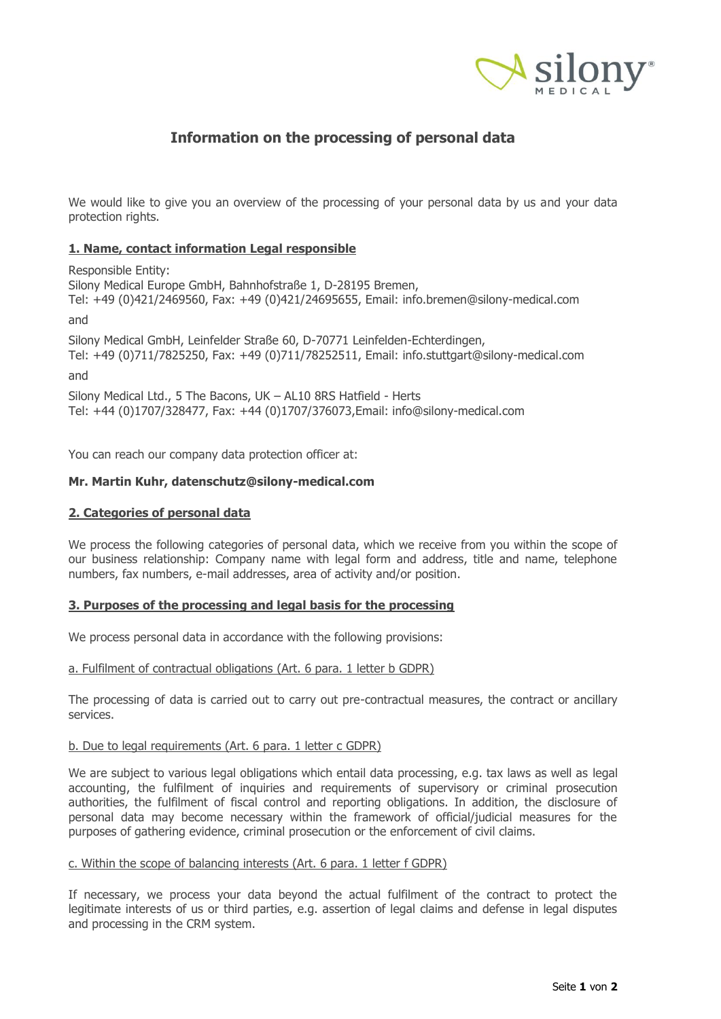

# **Information on the processing of personal data**

We would like to give you an overview of the processing of your personal data by us and your data protection rights.

# **1. Name, contact information Legal responsible**

Responsible Entity: Silony Medical Europe GmbH, Bahnhofstraße 1, D-28195 Bremen, Tel: +49 (0)421/2469560, Fax: +49 (0)421/24695655, Email: [info.bremen@silony-medical.com](mailto:info@silony-medical.com)

and

Silony Medical GmbH, Leinfelder Straße 60, D-70771 Leinfelden-Echterdingen, Tel: +49 (0)711/7825250, Fax: +49 (0)711/78252511, Email: [info.stuttgart@silony-medical.com](mailto:info@silony-medical.com)

and

Silony Medical Ltd., 5 The Bacons, UK – AL10 8RS Hatfield - Herts Tel: +44 (0)1707/328477, Fax: +44 (0)1707/376073,Email: info@silony-medical.com

You can reach our company data protection officer at:

# **Mr. Martin Kuhr, datenschutz@silony-medical.com**

## **2. Categories of personal data**

We process the following categories of personal data, which we receive from you within the scope of our business relationship: Company name with legal form and address, title and name, telephone numbers, fax numbers, e-mail addresses, area of activity and/or position.

# **3. Purposes of the processing and legal basis for the processing**

We process personal data in accordance with the following provisions:

### a. Fulfilment of contractual obligations (Art. 6 para. 1 letter b GDPR)

The processing of data is carried out to carry out pre-contractual measures, the contract or ancillary services.

### b. Due to legal requirements (Art. 6 para. 1 letter c GDPR)

We are subject to various legal obligations which entail data processing, e.g. tax laws as well as legal accounting, the fulfilment of inquiries and requirements of supervisory or criminal prosecution authorities, the fulfilment of fiscal control and reporting obligations. In addition, the disclosure of personal data may become necessary within the framework of official/judicial measures for the purposes of gathering evidence, criminal prosecution or the enforcement of civil claims.

### c. Within the scope of balancing interests (Art. 6 para. 1 letter f GDPR)

If necessary, we process your data beyond the actual fulfilment of the contract to protect the legitimate interests of us or third parties, e.g. assertion of legal claims and defense in legal disputes and processing in the CRM system.